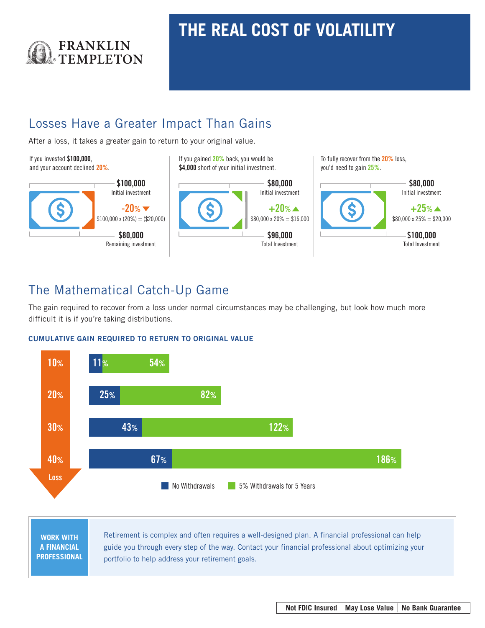

## **THE REAL COST OF VOLATILITY**

## Losses Have a Greater Impact Than Gains

After a loss, it takes a greater gain to return to your original value.



## The Mathematical Catch-Up Game

The gain required to recover from a loss under normal circumstances may be challenging, but look how much more difficult it is if you're taking distributions.

## CUMULATIVE GAIN REQUIRED TO RETURN TO ORIGINAL VALUE